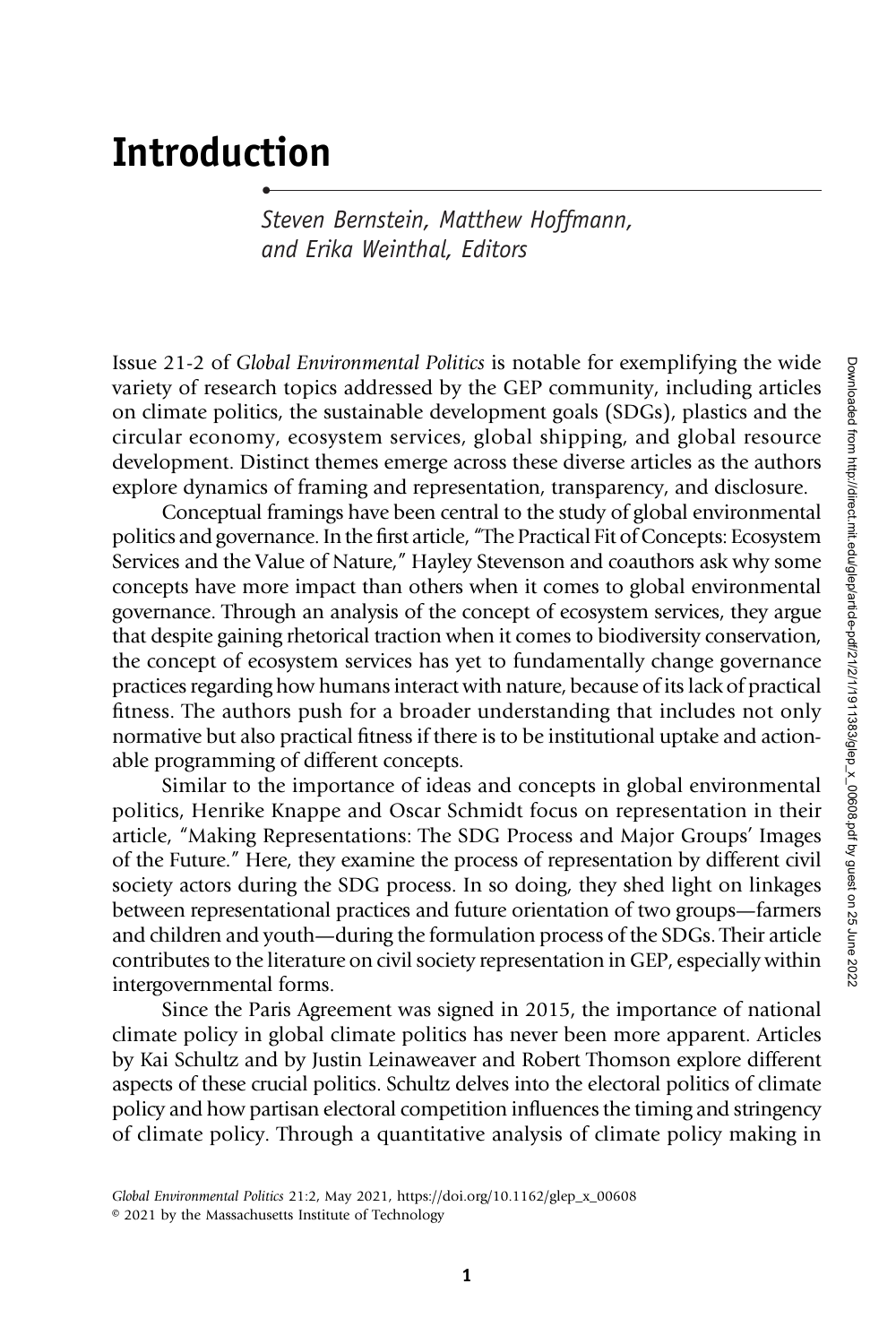## Introduction

•

Steven Bernstein, Matthew Hoffmann, and Erika Weinthal, Editors

Issue 21-2 of Global Environmental Politics is notable for exemplifying the wide variety of research topics addressed by the GEP community, including articles on climate politics, the sustainable development goals (SDGs), plastics and the circular economy, ecosystem services, global shipping, and global resource development. Distinct themes emerge across these diverse articles as the authors explore dynamics of framing and representation, transparency, and disclosure.

Conceptual framings have been central to the study of global environmental politics and governance. In the first article, "The Practical Fit of Concepts: Ecosystem Services and the Value of Nature," Hayley Stevenson and coauthors ask why some concepts have more impact than others when it comes to global environmental governance. Through an analysis of the concept of ecosystem services, they argue that despite gaining rhetorical traction when it comes to biodiversity conservation, the concept of ecosystem services has yet to fundamentally change governance practices regarding how humans interact with nature, because of its lack of practical fitness. The authors push for a broader understanding that includes not only normative but also practical fitness if there is to be institutional uptake and actionable programming of different concepts.

Similar to the importance of ideas and concepts in global environmental politics, Henrike Knappe and Oscar Schmidt focus on representation in their article, "Making Representations: The SDG Process and Major Groups' Images of the Future." Here, they examine the process of representation by different civil society actors during the SDG process. In so doing, they shed light on linkages between representational practices and future orientation of two groups—farmers and children and youth—during the formulation process of the SDGs. Their article contributes to the literature on civil society representation in GEP, especially within intergovernmental forms.

Since the Paris Agreement was signed in 2015, the importance of national climate policy in global climate politics has never been more apparent. Articles by Kai Schultz and by Justin Leinaweaver and Robert Thomson explore different aspects of these crucial politics. Schultz delves into the electoral politics of climate policy and how partisan electoral competition influences the timing and stringency of climate policy. Through a quantitative analysis of climate policy making in

Global Environmental Politics 21:2, May 2021, https://doi.org/10.1162/glep\_x\_00608 © 2021 by the Massachusetts Institute of Technology